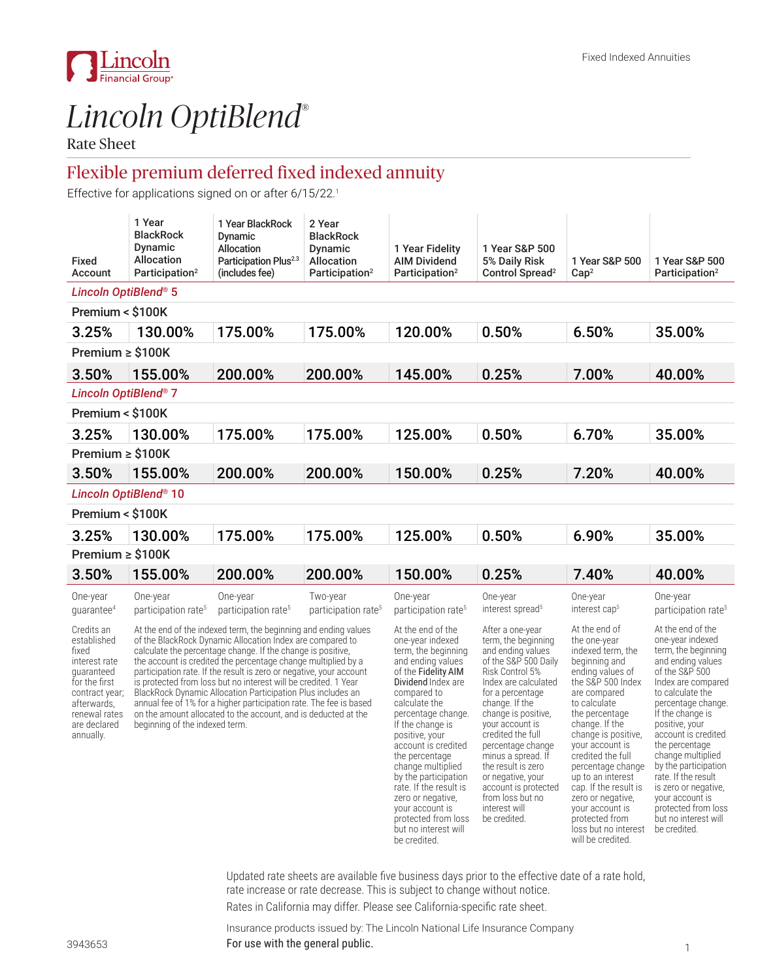

# *Lincoln OptiBlend*®

Rate Sheet

# Flexible premium deferred fixed indexed annuity

**Effective for applications signed on or after 6/15/22. 1**

| Fixed<br>Account                                                                                                                                                  | 1 Year<br><b>BlackRock</b><br>Dynamic<br>Allocation<br>Participation <sup>2</sup>                                                                                                                                                                                                                                                                                                                                                                                                                                                                                                                                                               | 1 Year BlackRock<br>Dynamic<br>Allocation<br>Participation Plus <sup>2.3</sup><br>(includes fee) | 2 Year<br><b>BlackRock</b><br>Dynamic<br><b>Allocation</b><br>Participation <sup>2</sup> | 1 Year Fidelity<br><b>AIM Dividend</b><br>Participation <sup>2</sup>                                                                                                                                                                                                                                                                                            | 1 Year S&P 500<br>5% Daily Risk<br>Control Spread <sup>2</sup>                                                                                                                                                                                                                                                                                                         | 1 Year S&P 500<br>Cap <sup>2</sup>                                                                                                                                                                                                                                                                                                      | 1 Year S&P 500<br>Participation <sup>2</sup>                                                                                                                                                                                                                                                                                                                      |
|-------------------------------------------------------------------------------------------------------------------------------------------------------------------|-------------------------------------------------------------------------------------------------------------------------------------------------------------------------------------------------------------------------------------------------------------------------------------------------------------------------------------------------------------------------------------------------------------------------------------------------------------------------------------------------------------------------------------------------------------------------------------------------------------------------------------------------|--------------------------------------------------------------------------------------------------|------------------------------------------------------------------------------------------|-----------------------------------------------------------------------------------------------------------------------------------------------------------------------------------------------------------------------------------------------------------------------------------------------------------------------------------------------------------------|------------------------------------------------------------------------------------------------------------------------------------------------------------------------------------------------------------------------------------------------------------------------------------------------------------------------------------------------------------------------|-----------------------------------------------------------------------------------------------------------------------------------------------------------------------------------------------------------------------------------------------------------------------------------------------------------------------------------------|-------------------------------------------------------------------------------------------------------------------------------------------------------------------------------------------------------------------------------------------------------------------------------------------------------------------------------------------------------------------|
| Lincoln OptiBlend® 5                                                                                                                                              |                                                                                                                                                                                                                                                                                                                                                                                                                                                                                                                                                                                                                                                 |                                                                                                  |                                                                                          |                                                                                                                                                                                                                                                                                                                                                                 |                                                                                                                                                                                                                                                                                                                                                                        |                                                                                                                                                                                                                                                                                                                                         |                                                                                                                                                                                                                                                                                                                                                                   |
| Premium < \$100K                                                                                                                                                  |                                                                                                                                                                                                                                                                                                                                                                                                                                                                                                                                                                                                                                                 |                                                                                                  |                                                                                          |                                                                                                                                                                                                                                                                                                                                                                 |                                                                                                                                                                                                                                                                                                                                                                        |                                                                                                                                                                                                                                                                                                                                         |                                                                                                                                                                                                                                                                                                                                                                   |
| 3.25%                                                                                                                                                             | 130.00%                                                                                                                                                                                                                                                                                                                                                                                                                                                                                                                                                                                                                                         | 175.00%                                                                                          | 175.00%                                                                                  | 120.00%                                                                                                                                                                                                                                                                                                                                                         | 0.50%                                                                                                                                                                                                                                                                                                                                                                  | 6.50%                                                                                                                                                                                                                                                                                                                                   | 35.00%                                                                                                                                                                                                                                                                                                                                                            |
| Premium $\ge$ \$100K                                                                                                                                              |                                                                                                                                                                                                                                                                                                                                                                                                                                                                                                                                                                                                                                                 |                                                                                                  |                                                                                          |                                                                                                                                                                                                                                                                                                                                                                 |                                                                                                                                                                                                                                                                                                                                                                        |                                                                                                                                                                                                                                                                                                                                         |                                                                                                                                                                                                                                                                                                                                                                   |
| 3.50%                                                                                                                                                             | 155.00%                                                                                                                                                                                                                                                                                                                                                                                                                                                                                                                                                                                                                                         | 200.00%                                                                                          | 200.00%                                                                                  | 145.00%                                                                                                                                                                                                                                                                                                                                                         | 0.25%                                                                                                                                                                                                                                                                                                                                                                  | 7.00%                                                                                                                                                                                                                                                                                                                                   | 40.00%                                                                                                                                                                                                                                                                                                                                                            |
| <b>Lincoln OptiBlend® 7</b>                                                                                                                                       |                                                                                                                                                                                                                                                                                                                                                                                                                                                                                                                                                                                                                                                 |                                                                                                  |                                                                                          |                                                                                                                                                                                                                                                                                                                                                                 |                                                                                                                                                                                                                                                                                                                                                                        |                                                                                                                                                                                                                                                                                                                                         |                                                                                                                                                                                                                                                                                                                                                                   |
| Premium < \$100K                                                                                                                                                  |                                                                                                                                                                                                                                                                                                                                                                                                                                                                                                                                                                                                                                                 |                                                                                                  |                                                                                          |                                                                                                                                                                                                                                                                                                                                                                 |                                                                                                                                                                                                                                                                                                                                                                        |                                                                                                                                                                                                                                                                                                                                         |                                                                                                                                                                                                                                                                                                                                                                   |
| 3.25%                                                                                                                                                             | 130.00%                                                                                                                                                                                                                                                                                                                                                                                                                                                                                                                                                                                                                                         | 175.00%                                                                                          | 175.00%                                                                                  | 125.00%                                                                                                                                                                                                                                                                                                                                                         | 0.50%                                                                                                                                                                                                                                                                                                                                                                  | 6.70%                                                                                                                                                                                                                                                                                                                                   | 35.00%                                                                                                                                                                                                                                                                                                                                                            |
| Premium $\geq$ \$100K                                                                                                                                             |                                                                                                                                                                                                                                                                                                                                                                                                                                                                                                                                                                                                                                                 |                                                                                                  |                                                                                          |                                                                                                                                                                                                                                                                                                                                                                 |                                                                                                                                                                                                                                                                                                                                                                        |                                                                                                                                                                                                                                                                                                                                         |                                                                                                                                                                                                                                                                                                                                                                   |
| 3.50%                                                                                                                                                             | 155.00%                                                                                                                                                                                                                                                                                                                                                                                                                                                                                                                                                                                                                                         | 200.00%                                                                                          | 200.00%                                                                                  | 150.00%                                                                                                                                                                                                                                                                                                                                                         | 0.25%                                                                                                                                                                                                                                                                                                                                                                  | 7.20%                                                                                                                                                                                                                                                                                                                                   | 40.00%                                                                                                                                                                                                                                                                                                                                                            |
| Lincoln OptiBlend® 10                                                                                                                                             |                                                                                                                                                                                                                                                                                                                                                                                                                                                                                                                                                                                                                                                 |                                                                                                  |                                                                                          |                                                                                                                                                                                                                                                                                                                                                                 |                                                                                                                                                                                                                                                                                                                                                                        |                                                                                                                                                                                                                                                                                                                                         |                                                                                                                                                                                                                                                                                                                                                                   |
| Premium < \$100K                                                                                                                                                  |                                                                                                                                                                                                                                                                                                                                                                                                                                                                                                                                                                                                                                                 |                                                                                                  |                                                                                          |                                                                                                                                                                                                                                                                                                                                                                 |                                                                                                                                                                                                                                                                                                                                                                        |                                                                                                                                                                                                                                                                                                                                         |                                                                                                                                                                                                                                                                                                                                                                   |
| 3.25%                                                                                                                                                             | 130.00%                                                                                                                                                                                                                                                                                                                                                                                                                                                                                                                                                                                                                                         | 175.00%                                                                                          | 175.00%                                                                                  | 125.00%                                                                                                                                                                                                                                                                                                                                                         | 0.50%                                                                                                                                                                                                                                                                                                                                                                  | 6.90%                                                                                                                                                                                                                                                                                                                                   | 35.00%                                                                                                                                                                                                                                                                                                                                                            |
| Premium $\geq$ \$100K                                                                                                                                             |                                                                                                                                                                                                                                                                                                                                                                                                                                                                                                                                                                                                                                                 |                                                                                                  |                                                                                          |                                                                                                                                                                                                                                                                                                                                                                 |                                                                                                                                                                                                                                                                                                                                                                        |                                                                                                                                                                                                                                                                                                                                         |                                                                                                                                                                                                                                                                                                                                                                   |
| 3.50%                                                                                                                                                             | 155.00%                                                                                                                                                                                                                                                                                                                                                                                                                                                                                                                                                                                                                                         | 200.00%                                                                                          | 200.00%                                                                                  | 150.00%                                                                                                                                                                                                                                                                                                                                                         | 0.25%                                                                                                                                                                                                                                                                                                                                                                  | 7.40%                                                                                                                                                                                                                                                                                                                                   | 40.00%                                                                                                                                                                                                                                                                                                                                                            |
| One-year<br>guarantee <sup>4</sup>                                                                                                                                | One-year<br>participation rate <sup>5</sup>                                                                                                                                                                                                                                                                                                                                                                                                                                                                                                                                                                                                     | One-year<br>participation rate <sup>5</sup>                                                      | Two-year<br>participation rate <sup>5</sup>                                              | One-year<br>participation rate <sup>5</sup>                                                                                                                                                                                                                                                                                                                     | One-year<br>interest spread <sup>5</sup>                                                                                                                                                                                                                                                                                                                               | One-year<br>interest cap <sup>5</sup>                                                                                                                                                                                                                                                                                                   | One-year<br>participation rate <sup>5</sup>                                                                                                                                                                                                                                                                                                                       |
| Credits an<br>established<br>fixed<br>interest rate<br>quaranteed<br>for the first<br>contract year;<br>afterwards,<br>renewal rates<br>are declared<br>annually. | At the end of the indexed term, the beginning and ending values<br>of the BlackRock Dynamic Allocation Index are compared to<br>calculate the percentage change. If the change is positive,<br>the account is credited the percentage change multiplied by a<br>participation rate. If the result is zero or negative, your account<br>is protected from loss but no interest will be credited. 1 Year<br>BlackRock Dynamic Allocation Participation Plus includes an<br>annual fee of 1% for a higher participation rate. The fee is based<br>on the amount allocated to the account, and is deducted at the<br>beginning of the indexed term. |                                                                                                  |                                                                                          | At the end of the<br>one-year indexed<br>term, the beginning<br>and ending values<br>of the Fidelity AIM<br>Dividend Index are<br>compared to<br>calculate the<br>percentage change.<br>If the change is<br>positive, your<br>account is credited<br>the percentage<br>change multiplied<br>by the participation<br>rate. If the result is<br>zero or negative, | After a one-year<br>term, the beginning<br>and ending values<br>of the S&P 500 Daily<br>Risk Control 5%<br>Index are calculated<br>for a percentage<br>change. If the<br>change is positive,<br>your account is<br>credited the full<br>percentage change<br>minus a spread. If<br>the result is zero<br>or negative, your<br>account is protected<br>from loss but no | At the end of<br>the one-year<br>indexed term, the<br>beginning and<br>ending values of<br>the S&P 500 Index<br>are compared<br>to calculate<br>the percentage<br>change. If the<br>change is positive,<br>your account is<br>credited the full<br>percentage change<br>up to an interest<br>cap. If the result is<br>zero or negative, | At the end of the<br>one-year indexed<br>term, the beginning<br>and ending values<br>of the S&P 500<br>Index are compared<br>to calculate the<br>percentage change.<br>If the change is<br>positive, your<br>account is credited<br>the percentage<br>change multiplied<br>by the participation<br>rate. If the result<br>is zero or negative,<br>your account is |

Updated rate sheets are available five business days prior to the effective date of a rate hold, rate increase or rate decrease. This is subject to change without notice.

protected from loss be credited.

interest will

your account is protected from

will be credited.

loss but no interest be credited.

your account is

but no interest will be credited.

Rates in California may differ. Please see California-specific rate sheet.

Insurance products issued by: The Lincoln National Life Insurance Company For use with the general public. The set of the set of the set of the set of the set of the set of the set of the set of the set of the set of the set of the set of the set of the set of the set of the set of the set of th

protected from loss but no interest will